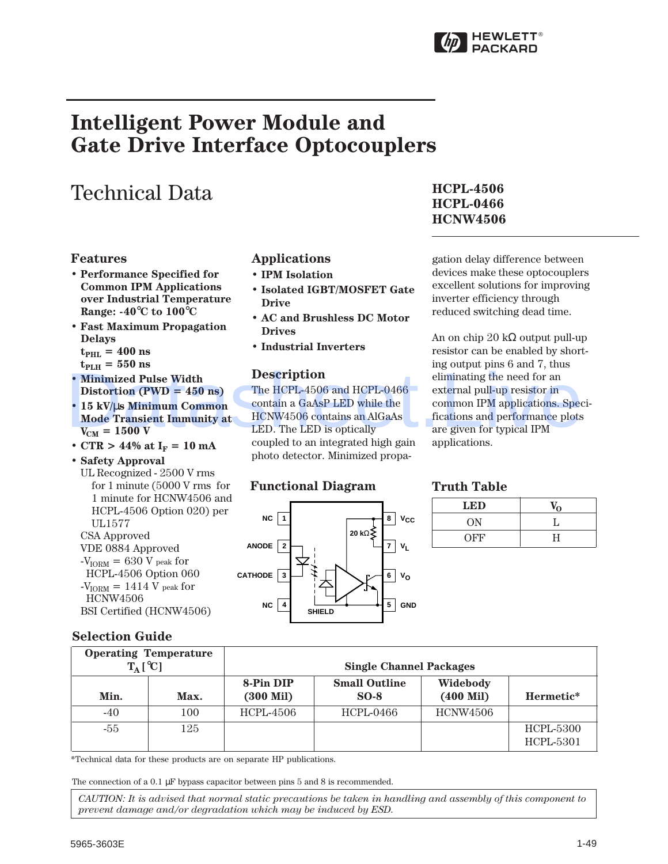

# **Intelligent Power Module and Gate Drive Interface Optocouplers**

# Technical Data

#### **Features**

- **Performance Specified for Common IPM Applications over Industrial Temperature Range: -40**°**C to 100**°**C**
- **Fast Maximum Propagation Delays**  $t_{\text{PHL}} = 400 \text{ ns}$ 
	- $t_{PLH} = 550$  ns
- **Minimized Pulse Width Distortion (PWD = 450 ns)**
- **15 kV/**µ**s Minimum Common Mode Transient Immunity at**  $V_{CM} = 1500 V$
- CTR >  $44\%$  at  $I_F = 10$  mA
- **Safety Approval** UL Recognized - 2500 V rms for 1 minute (5000 V rms for 1 minute for HCNW4506 and HCPL-4506 Option 020) per UL1577 CSA Approved VDE 0884 Approved
- $-V<sub>IORM</sub> = 630 V<sub>peak</sub> for$ HCPL-4506 Option 060  $-V<sub>ION</sub> = 1414 V$  peak for HCNW4506 BSI Certified (HCNW4506)

### **Selection Guide**

# **Applications**

- **IPM Isolation**
- **Isolated IGBT/MOSFET Gate Drive**
- **AC and Brushless DC Motor Drives**
- **Industrial Inverters**

#### **Description**

# **Functional Diagram Truth Table**

#### **8 7 6 1 3 CATHODE SHIELD 5 2 ANODE 4 20 k**Ω **NC NC VCC VL VO GND**

## **HCPL-4506 HCPL-0466 HCNW4506**

gation delay difference between devices make these optocouplers excellent solutions for improving inverter efficiency through reduced switching dead time.

An on chip 20 kΩ output pull-up resistor can be enabled by shorting output pins 6 and 7, thus eliminating the need for an external pull-up resistor in common IPM applications. Specifications and performance plots are given for typical IPM applications.

| <b>LED</b> |   |
|------------|---|
| <b>ON</b>  |   |
| <b>OFF</b> | Н |

| <b>. Minimized Pulse Width</b><br>Distortion (PWD = $450$ ns)<br>• 15 kV/us Minimum Common<br>$V_{\text{CM}} = 1500 \text{ V}$<br>• CTR > 44% at $I_F = 10$ mA<br>· Safety Approval<br>UL Recognized - 2500 V rms | <b>Mode Transient Immunity at</b><br>for 1 minute $(5000 \text{ V} \text{ rms}$ for<br>1 minute for HCNW4506 and | <b>Description</b><br>LED. The LED is optically<br><b>Functional Diagram</b>                                                                                                                                                   | The HCPL-4506 and HCPL-0466<br>contain a GaAsP LED while the<br>HCNW4506 contains an AlGaAs<br>coupled to an integrated high gain<br>photo detector. Minimized propa- | eliminating the need for an<br>external pull-up resistor in<br>common IPM applications. Speci-<br>fications and performance plots<br>are given for typical IPM<br>applications.<br><b>Truth Table</b> |                                      |  |
|-------------------------------------------------------------------------------------------------------------------------------------------------------------------------------------------------------------------|------------------------------------------------------------------------------------------------------------------|--------------------------------------------------------------------------------------------------------------------------------------------------------------------------------------------------------------------------------|-----------------------------------------------------------------------------------------------------------------------------------------------------------------------|-------------------------------------------------------------------------------------------------------------------------------------------------------------------------------------------------------|--------------------------------------|--|
|                                                                                                                                                                                                                   | HCPL-4506 Option 020) per                                                                                        |                                                                                                                                                                                                                                |                                                                                                                                                                       | <b>LED</b>                                                                                                                                                                                            | $V_{\Omega}$                         |  |
| <b>UL1577</b>                                                                                                                                                                                                     |                                                                                                                  | $NC$                                                                                                                                                                                                                           | $8   V_{CC}$                                                                                                                                                          | <b>ON</b>                                                                                                                                                                                             | L                                    |  |
| <b>CSA Approved</b><br>VDE 0884 Approved                                                                                                                                                                          |                                                                                                                  | $ANDDE$ 2                                                                                                                                                                                                                      | 20 kΩ <<br>$V_L$<br>7 <sup>1</sup>                                                                                                                                    | <b>OFF</b>                                                                                                                                                                                            | $\rm H$                              |  |
| <b>HCNW4506</b><br>BSI Certified (HCNW4506)                                                                                                                                                                       |                                                                                                                  | NC<br>$\overline{4}$                                                                                                                                                                                                           | 5<br><b>GND</b><br><b>SHIELD</b>                                                                                                                                      |                                                                                                                                                                                                       |                                      |  |
| <b>Selection Guide</b><br><b>Operating Temperature</b>                                                                                                                                                            |                                                                                                                  |                                                                                                                                                                                                                                | <b>Single Channel Packages</b>                                                                                                                                        |                                                                                                                                                                                                       |                                      |  |
| $T_A [^{\circ}C]$                                                                                                                                                                                                 |                                                                                                                  | 8-Pin DIP                                                                                                                                                                                                                      | <b>Small Outline</b>                                                                                                                                                  | Widebody                                                                                                                                                                                              |                                      |  |
| Min.                                                                                                                                                                                                              | Max.                                                                                                             | $(300$ Mil $)$                                                                                                                                                                                                                 | $SO-8$                                                                                                                                                                | $(400$ Mil $)$                                                                                                                                                                                        | Hermetic*                            |  |
| $-40$                                                                                                                                                                                                             | 100                                                                                                              | <b>HCPL-4506</b>                                                                                                                                                                                                               | <b>HCPL-0466</b>                                                                                                                                                      | <b>HCNW4506</b>                                                                                                                                                                                       |                                      |  |
| $-55$                                                                                                                                                                                                             | 125                                                                                                              |                                                                                                                                                                                                                                |                                                                                                                                                                       |                                                                                                                                                                                                       | <b>HCPL-5300</b><br><b>HCPL-5301</b> |  |
|                                                                                                                                                                                                                   |                                                                                                                  | *Technical data for these products are on separate HP publications.<br>The connection of a 0.1 $\mu$ F bypass capacitor between pins 5 and 8 is recommended.<br>prevent damage and/or degradation which may be induced by ESD. | CAUTION: It is advised that normal static precautions be taken in handling and assembly of this component to                                                          |                                                                                                                                                                                                       |                                      |  |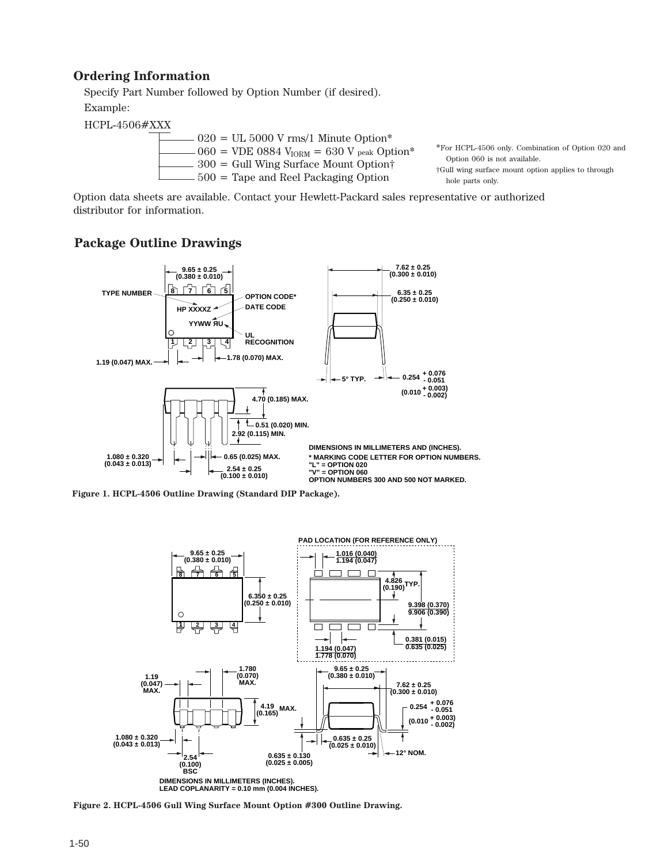### **Ordering Information**

Specify Part Number followed by Option Number (if desired). Example:

HCPL-4506#XXX

| $020 = UL$ 5000 V rms/1 Minute Option*                              |
|---------------------------------------------------------------------|
| $060 =$ VDE 0884 V <sub>IORM</sub> = 630 V peak Option <sup>*</sup> |
| $300 =$ Gull Wing Surface Mount Option†                             |
| $500$ = Tape and Reel Packaging Option                              |

\*For HCPL-4506 only. Combination of Option 020 and Option 060 is not available. †Gull wing surface mount option applies to through

hole parts only.

Option data sheets are available. Contact your Hewlett-Packard sales representative or authorized distributor for information.

#### **Package Outline Drawings**



**Figure 1. HCPL-4506 Outline Drawing (Standard DIP Package).**



**Figure 2. HCPL-4506 Gull Wing Surface Mount Option #300 Outline Drawing.**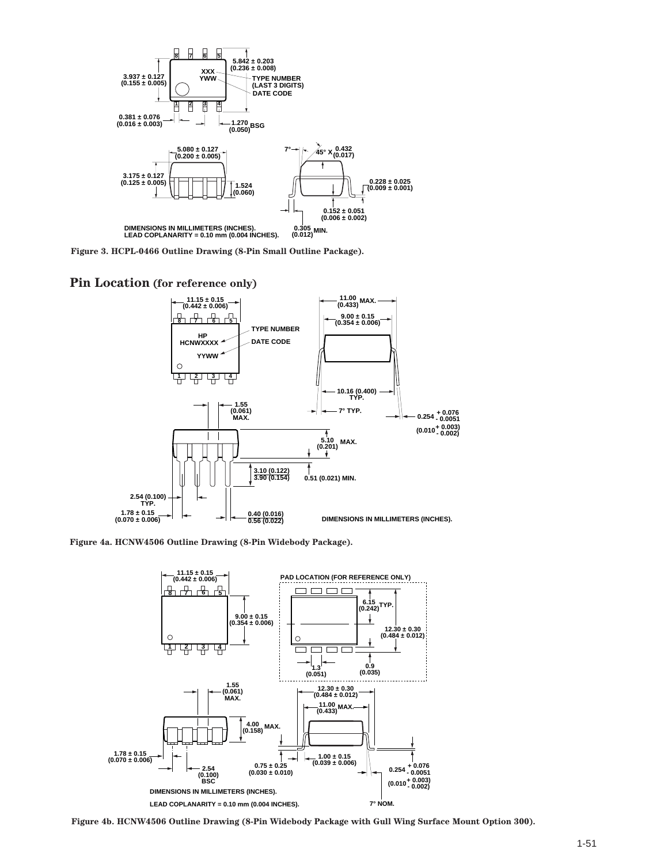

**Figure 3. HCPL-0466 Outline Drawing (8-Pin Small Outline Package).**

#### **Pin Location (for reference only)**



**Figure 4a. HCNW4506 Outline Drawing (8-Pin Widebody Package).**



**Figure 4b. HCNW4506 Outline Drawing (8-Pin Widebody Package with Gull Wing Surface Mount Option 300).**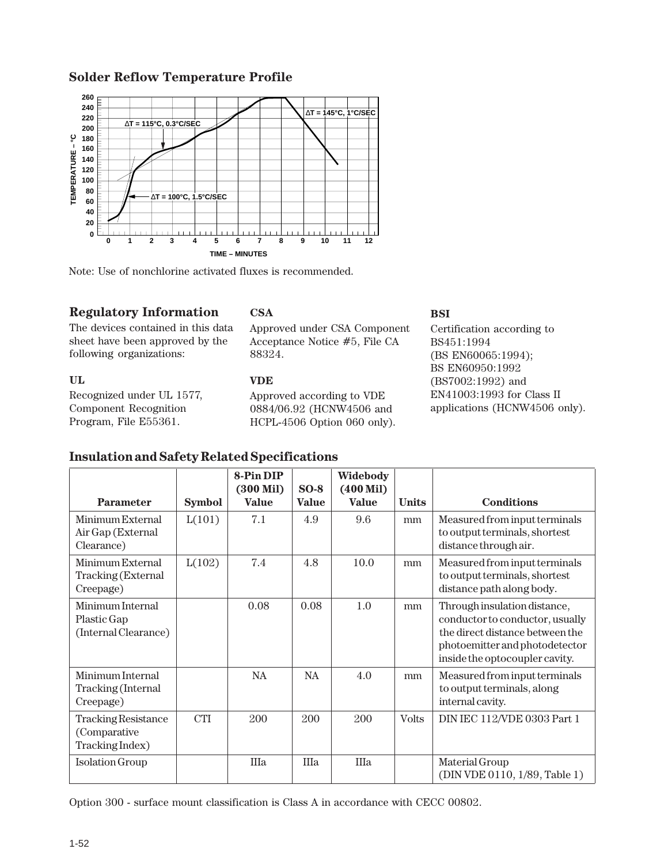#### **Solder Reflow Temperature Profile**



Note: Use of nonchlorine activated fluxes is recommended.

### **Regulatory Information**

The devices contained in this data sheet have been approved by the following organizations:

#### **UL**

Recognized under UL 1577, Component Recognition Program, File E55361.

## **CSA**

Approved under CSA Component Acceptance Notice #5, File CA 88324.

#### **VDE**

Approved according to VDE 0884/06.92 (HCNW4506 and HCPL-4506 Option 060 only).

#### **BSI**

Certification according to BS451:1994 (BS EN60065:1994); BS EN60950:1992 (BS7002:1992) and EN41003:1993 for Class II applications (HCNW4506 only).

|                                                               |               | 8-Pin DIP<br>$(300 \text{ Mil})$ | $SO-8$       | Widebody<br>$(400$ Mil $)$ |              |                                                                                                                                                                        |
|---------------------------------------------------------------|---------------|----------------------------------|--------------|----------------------------|--------------|------------------------------------------------------------------------------------------------------------------------------------------------------------------------|
| <b>Parameter</b>                                              | <b>Symbol</b> | <b>Value</b>                     | <b>Value</b> | <b>Value</b>               | <b>Units</b> | <b>Conditions</b>                                                                                                                                                      |
| Minimum External<br>Air Gap (External<br>Clearance)           | L(101)        | 7.1                              | 4.9          | 9.6                        | mm           | Measured from input terminals<br>to output terminals, shortest<br>distance through air.                                                                                |
| Minimum External<br>Tracking (External<br>Creepage)           | L(102)        | 7.4                              | 4.8          | 10.0                       | mm           | Measured from input terminals<br>to output terminals, shortest<br>distance path along body.                                                                            |
| Minimum Internal<br>Plastic Gap<br>(Internal Clearance)       |               | 0.08                             | 0.08         | 1.0                        | mm           | Through insulation distance,<br>conductor to conductor, usually<br>the direct distance between the<br>photoemitter and photodetector<br>inside the optocoupler cavity. |
| Minimum Internal<br>Tracking (Internal<br>Creepage)           |               | NA.                              | <b>NA</b>    | 4.0                        | mm           | Measured from input terminals<br>to output terminals, along<br>internal cavity.                                                                                        |
| <b>Tracking Resistance</b><br>(Comparative<br>Tracking Index) | <b>CTI</b>    | 200                              | 200          | 200                        | <b>Volts</b> | DIN IEC 112/VDE 0303 Part 1                                                                                                                                            |
| <b>Isolation Group</b>                                        |               | IIIa                             | IIIa         | IIIa                       |              | Material Group<br>(DIN VDE 0110, 1/89, Table 1)                                                                                                                        |

Option 300 - surface mount classification is Class A in accordance with CECC 00802.

# **Insulation and Safety Related Specifications**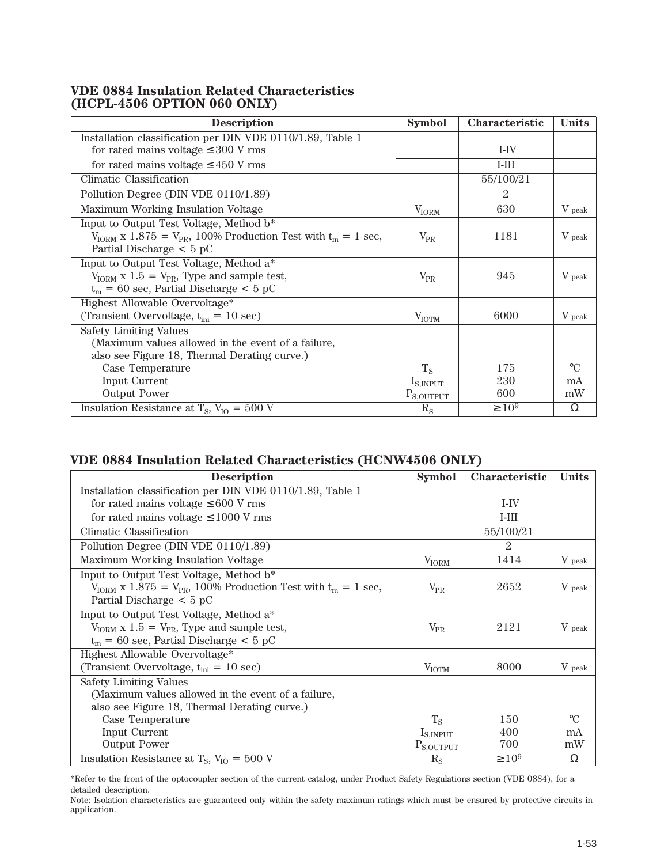#### **VDE 0884 Insulation Related Characteristics (HCPL-4506 OPTION 060 ONLY)**

| <b>Description</b>                                                                                                                                              | <b>Symbol</b>         | <b>Characteristic</b> | <b>Units</b> |
|-----------------------------------------------------------------------------------------------------------------------------------------------------------------|-----------------------|-----------------------|--------------|
| Installation classification per DIN VDE 0110/1.89, Table 1                                                                                                      |                       |                       |              |
| for rated mains voltage $\leq 300$ V rms                                                                                                                        |                       | I-IV                  |              |
| for rated mains voltage $\leq 450$ V rms                                                                                                                        |                       | $I-III$               |              |
| Climatic Classification                                                                                                                                         |                       | 55/100/21             |              |
| Pollution Degree (DIN VDE 0110/1.89)                                                                                                                            |                       | $\mathcal{D}$         |              |
| Maximum Working Insulation Voltage                                                                                                                              | $V_{IORM}$            | 630                   | V peak       |
| Input to Output Test Voltage, Method b*<br>$V_{\text{IORM}}$ x 1.875 = $V_{\text{PR}}$ , 100% Production Test with $t_m = 1$ sec,<br>Partial Discharge $< 5 pC$ | $V_{PR}$              | 1181                  | V peak       |
| Input to Output Test Voltage, Method a*<br>$V_{IORM}$ x 1.5 = $V_{PR}$ , Type and sample test,<br>$t_m = 60$ sec, Partial Discharge < 5 pC                      | $V_{PR}$              | 945                   | V peak       |
| Highest Allowable Overvoltage*<br>(Transient Overvoltage, $t_{\text{ini}} = 10 \text{ sec}$ )                                                                   | $V_{\text{IOTM}}$     | 6000                  | V peak       |
| <b>Safety Limiting Values</b><br>(Maximum values allowed in the event of a failure,<br>also see Figure 18, Thermal Derating curve.)                             |                       |                       |              |
| Case Temperature                                                                                                                                                | $T_{\rm S}$           | 175                   | $\circ$ C    |
| Input Current                                                                                                                                                   | $I_{S, \text{INPUT}}$ | 230                   | mA           |
| <b>Output Power</b>                                                                                                                                             | $P_{S,OUTPUT}$        | 600                   | mW           |
| Insulation Resistance at $T_s$ , $V_{I0} = 500$ V                                                                                                               | $R_{\rm S}$           | $\geq 10^9$           | Ω            |

# **VDE 0884 Insulation Related Characteristics (HCNW4506 ONLY)**

| <b>Description</b>                                                                     | <b>Symbol</b>  | <b>Characteristic</b> | <b>Units</b> |
|----------------------------------------------------------------------------------------|----------------|-----------------------|--------------|
| Installation classification per DIN VDE 0110/1.89, Table 1                             |                |                       |              |
| for rated mains voltage $\leq 600$ V rms                                               |                | I-IV                  |              |
| for rated mains voltage $\leq 1000$ V rms                                              |                | $I-III$               |              |
| Climatic Classification                                                                |                | 55/100/21             |              |
| Pollution Degree (DIN VDE 0110/1.89)                                                   |                | 2                     |              |
| Maximum Working Insulation Voltage                                                     | $V_{IORM}$     | 1414                  | V peak       |
| Input to Output Test Voltage, Method b*                                                |                |                       |              |
| $V_{\text{IORM}}$ x 1.875 = $V_{\text{PR}}$ , 100% Production Test with $t_m = 1$ sec, | $V_{PR}$       | 2652                  | V peak       |
| Partial Discharge $< 5 pC$                                                             |                |                       |              |
| Input to Output Test Voltage, Method a*                                                |                |                       |              |
| $V_{\text{IORM}}$ x 1.5 = $V_{\text{PR}}$ , Type and sample test,                      | $V_{PR}$       | 2121                  | V peak       |
| $t_m$ = 60 sec, Partial Discharge < 5 pC                                               |                |                       |              |
| Highest Allowable Overvoltage*                                                         |                |                       |              |
| (Transient Overvoltage, $t_{\text{ini}} = 10 \text{ sec}$ )                            | $V_{IOTM}$     | 8000                  | V peak       |
| <b>Safety Limiting Values</b>                                                          |                |                       |              |
| (Maximum values allowed in the event of a failure,                                     |                |                       |              |
| also see Figure 18, Thermal Derating curve.)                                           |                |                       |              |
| Case Temperature                                                                       | $T_{\rm S}$    | 150                   | $\Gamma$     |
| Input Current                                                                          | $I_{S,INPUT}$  | 400                   | mA           |
| <b>Output Power</b>                                                                    | $P_{S,OUTPUT}$ | 700                   | mW           |
| Insulation Resistance at $T_s$ , $V_{IO} = 500$ V                                      | $R_{S}$        | $\geq 10^9$           | Ω            |

\*Refer to the front of the optocoupler section of the current catalog, under Product Safety Regulations section (VDE 0884), for a detailed description.

Note: Isolation characteristics are guaranteed only within the safety maximum ratings which must be ensured by protective circuits in application.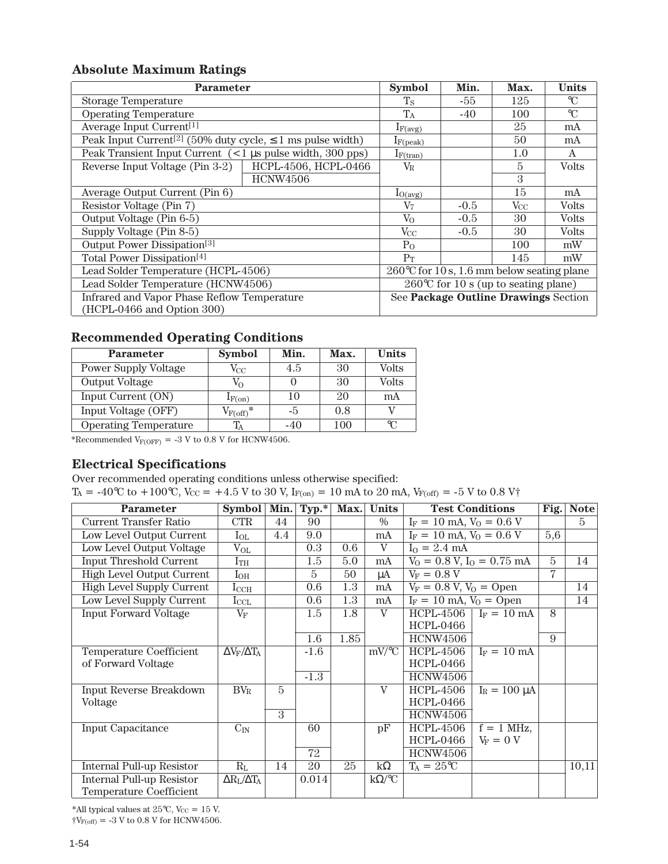# **Absolute Maximum Ratings**

| <b>Parameter</b>                                                            |                      | <b>Symbol</b>                                        | Min.   | Max.         | <b>Units</b> |
|-----------------------------------------------------------------------------|----------------------|------------------------------------------------------|--------|--------------|--------------|
| <b>Storage Temperature</b>                                                  |                      | $T_{\rm S}$                                          | -55    | 125          | $\mathrm{C}$ |
| <b>Operating Temperature</b>                                                | $T_A$                | $-40$                                                | 100    | $\mathrm{C}$ |              |
| Average Input Current <sup>[1]</sup>                                        | $I_{F(\text{avg})}$  |                                                      | 25     | mA           |              |
| Peak Input Current <sup>[2]</sup> (50% duty cycle, $\leq$ 1 ms pulse width) |                      | $I_{F(peak)}$                                        |        | 50           | mA           |
| Peak Transient Input Current $(< 1 \mu s$ pulse width, 300 pps)             |                      | $I_{F(tran)}$                                        |        | 1.0          | A            |
| Reverse Input Voltage (Pin 3-2)                                             | HCPL-4506, HCPL-0466 | $V_{\rm R}$                                          |        | 5            | <b>Volts</b> |
|                                                                             | <b>HCNW4506</b>      |                                                      |        | 3            |              |
| Average Output Current (Pin 6)                                              |                      | $I_{O(\text{avg})}$                                  |        | 15           | mA           |
| Resistor Voltage (Pin 7)                                                    |                      | $\rm V_7$                                            | $-0.5$ | $V_{\rm CC}$ | Volts        |
| Output Voltage (Pin 6-5)                                                    |                      | $V_{O}$                                              | $-0.5$ | 30           | <b>Volts</b> |
| Supply Voltage (Pin 8-5)                                                    |                      | $V_{CC}$                                             | $-0.5$ | 30           | <b>Volts</b> |
| Output Power Dissipation <sup>[3]</sup>                                     |                      | $P_{O}$                                              |        | 100          | mW           |
| Total Power Dissipation <sup>[4]</sup>                                      |                      | $P_T$                                                |        | 145          | mW           |
| Lead Solder Temperature (HCPL-4506)                                         |                      | $260^{\circ}$ C for 10 s, 1.6 mm below seating plane |        |              |              |
| Lead Solder Temperature (HCNW4506)                                          |                      | $260^{\circ}$ C for 10 s (up to seating plane)       |        |              |              |
| Infrared and Vapor Phase Reflow Temperature                                 |                      | See Package Outline Drawings Section                 |        |              |              |
| (HCPL-0466 and Option 300)                                                  |                      |                                                      |        |              |              |

# **Recommended Operating Conditions**

| <b>Parameter</b>             | <b>Symbol</b>         | Min.  | Max. | Units        |
|------------------------------|-----------------------|-------|------|--------------|
| <b>Power Supply Voltage</b>  | $V_{\rm CC}$          | 4.5   | 30   | <b>Volts</b> |
| <b>Output Voltage</b>        | $V_{\Omega}$          |       | 30   | <b>Volts</b> |
| Input Current (ON)           | $I_{F(0n)}$           | 10    | 20   | mA           |
| Input Voltage (OFF)          | $V_{F(\text{off})}$ * | -5    | 0.8  |              |
| <b>Operating Temperature</b> |                       | $-40$ | 100  | ℃            |

\*Recommended  $V_{F(OFF)} = -3$  V to 0.8 V for HCNW4506.

# **Electrical Specifications**

Over recommended operating conditions unless otherwise specified:

 $T_A = -40^{\circ}\text{C}$  to  $+100^{\circ}\text{C}$ ,  $V_{\text{CC}} = +4.5$  V to 30 V,  $I_{F(on)} = 10$  mA to 20 mA,  $V_{F(off)} = -5$  V to 0.8 V<sup>+</sup>

| <b>Parameter</b>                 | Symbol   Min.                       |               | $\mathbf{Typ.}^*$ | Max. | <b>Units</b>  |                                                       | <b>Test Conditions</b> | Fig.           | <b>Note</b>    |
|----------------------------------|-------------------------------------|---------------|-------------------|------|---------------|-------------------------------------------------------|------------------------|----------------|----------------|
| <b>Current Transfer Ratio</b>    | <b>CTR</b>                          | 44            | 90                |      | $\frac{0}{0}$ | $I_F = 10$ mA, $V_O = 0.6$ V                          |                        |                | $\overline{5}$ |
| Low Level Output Current         | $I_{OL}$                            | 4.4           | 9.0               |      | mA            | $\overline{I_F} = 10 \text{ mA}, V_0 = 0.6 \text{ V}$ |                        | 5,6            |                |
| Low Level Output Voltage         | $\rm V_{OL}$                        |               | 0.3               | 0.6  | V             | $I_0 = 2.4$ mA                                        |                        |                |                |
| <b>Input Threshold Current</b>   | $I_{TH}$                            |               | 1.5               | 5.0  | mA            | $V_0 = 0.8$ V, $I_0 = 0.75$ mA                        |                        | $\overline{5}$ | 14             |
| <b>High Level Output Current</b> | $I_{OH}$                            |               | 5                 | 50   | μA            | $V_F = 0.8 V$                                         |                        | $\overline{7}$ |                |
| <b>High Level Supply Current</b> | $I_{\rm CCH}$                       |               | 0.6               | 1.3  | mA            | $V_F = 0.8 V, V_0 =$ Open                             |                        |                | 14             |
| Low Level Supply Current         | $\rm I_{CCL}$                       |               | 0.6               | 1.3  | mA            | $I_F = 10$ mA, $V_0 =$ Open                           |                        |                | 14             |
| <b>Input Forward Voltage</b>     | $V_{\rm F}$                         |               | 1.5               | 1.8  | $\rm V$       | <b>HCPL-4506</b>                                      | $I_F = 10 \text{ mA}$  | 8              |                |
|                                  |                                     |               |                   |      |               | <b>HCPL-0466</b>                                      |                        |                |                |
|                                  |                                     |               | 1.6               | 1.85 |               | <b>HCNW4506</b>                                       |                        | 9              |                |
| Temperature Coefficient          | $\Delta V_F/\Delta T_A$             |               | $-1.6$            |      | $mV$ /°C      | HCPL-4506                                             | $I_F = 10 \text{ mA}$  |                |                |
| of Forward Voltage               |                                     |               |                   |      |               | HCPL-0466                                             |                        |                |                |
|                                  |                                     |               | $-1.3$            |      |               | <b>HCNW4506</b>                                       |                        |                |                |
| Input Reverse Breakdown          | $BV_R$                              | 5             |                   |      | $\rm V$       | <b>HCPL-4506</b>                                      | $I_R = 100 \mu A$      |                |                |
| Voltage                          |                                     |               |                   |      |               | <b>HCPL-0466</b>                                      |                        |                |                |
|                                  |                                     | $\mathcal{S}$ |                   |      |               | <b>HCNW4506</b>                                       |                        |                |                |
| <b>Input Capacitance</b>         | $C_{IN}$                            |               | 60                |      | pF            | <b>HCPL-4506</b>                                      | $f = 1$ MHz,           |                |                |
|                                  |                                     |               |                   |      |               | <b>HCPL-0466</b>                                      | $V_F = 0 V$            |                |                |
|                                  |                                     |               | 72                |      |               | <b>HCNW4506</b>                                       |                        |                |                |
| <b>Internal Pull-up Resistor</b> | $R_L$                               | 14            | 20                | 25   | $k\Omega$     | $T_A = 25^{\circ}C$                                   |                        |                | 10,11          |
| <b>Internal Pull-up Resistor</b> | $\Delta R_{\rm L}/\Delta T_{\rm A}$ |               | 0.014             |      | $k\Omega$ /°C |                                                       |                        |                |                |
| <b>Temperature Coefficient</b>   |                                     |               |                   |      |               |                                                       |                        |                |                |

\*All typical values at  $25^{\circ}$ C, Vcc = 15 V.

 $\dagger V_{\rm F(off)}$  = -3 V to 0.8 V for HCNW4506.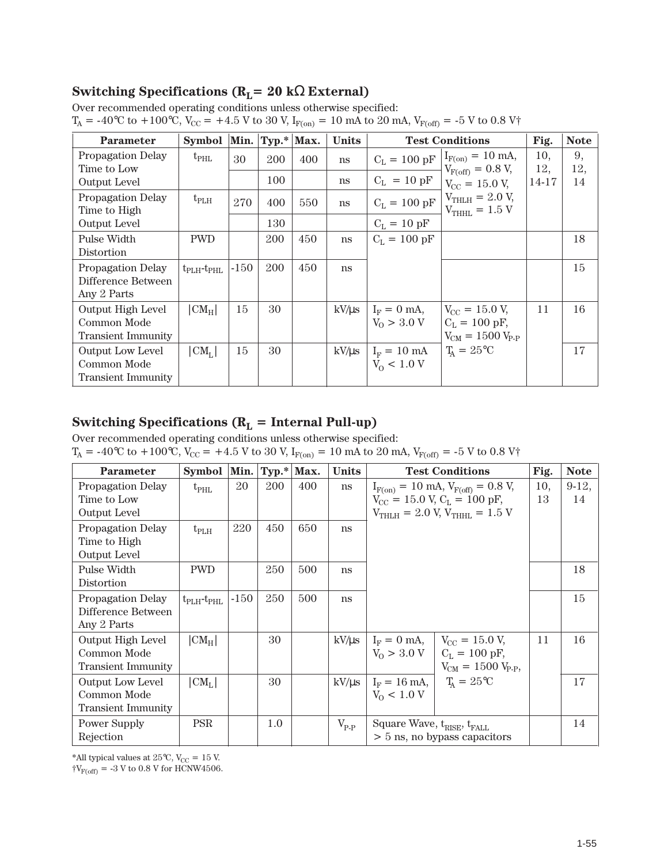# **Switching Specifications (RL= 20 k**Ω **External)**

|  |  | Over recommended operating conditions unless otherwise specified: |  |
|--|--|-------------------------------------------------------------------|--|
|  |  |                                                                   |  |

| <b>Parameter</b>                                              | Symbol                        | Min.   | $Typ.*$ Max. |     | <b>Units</b> |                                              | <b>Test Conditions</b>                                                         | Fig.       | <b>Note</b> |
|---------------------------------------------------------------|-------------------------------|--------|--------------|-----|--------------|----------------------------------------------|--------------------------------------------------------------------------------|------------|-------------|
| Propagation Delay<br>Time to Low                              | $t_{\rm PHL}$                 | 30     | 200          | 400 | ns           | $C_{L} = 100 pF$                             | $I_{F(on)} = 10$ mA,<br>$V_{F(off)} = 0.8 V,$                                  | 10,<br>12, | 9,<br>12,   |
| <b>Output Level</b>                                           |                               |        | 100          |     | ns           | $C_{L} = 10 pF$                              | $V_{CC} = 15.0 V$ ,                                                            | 14-17      | 14          |
| Propagation Delay<br>Time to High                             | $t_{\rm PLH}$                 | 270    | 400          | 550 | ns           | $C_{L} = 100 pF$                             | $V_{THLH} = 2.0 V,$<br>$V_{THHL} = 1.5 V$                                      |            |             |
| <b>Output Level</b>                                           |                               |        | 130          |     |              | $C_{L} = 10 pF$                              |                                                                                |            |             |
| Pulse Width<br>Distortion                                     | <b>PWD</b>                    |        | 200          | 450 | ns           | $C_{L} = 100 \text{ pF}$                     |                                                                                |            | 18          |
| Propagation Delay<br>Difference Between<br>Any 2 Parts        | $t_{\rm PLH}$ - $t_{\rm PHL}$ | $-150$ | 200          | 450 | ns           |                                              |                                                                                |            | 15          |
| Output High Level<br>Common Mode<br><b>Transient Immunity</b> | $ CM_H $                      | 15     | 30           |     | $kV/\mu s$   | $I_F = 0$ mA,<br>$V_0 > 3.0 V$               | $V_{\rm CC} = 15.0 V$ ,<br>$C_{L} = 100 \text{ pF}$<br>$V_{CM} = 1500 V_{P-P}$ | 11         | 16          |
| Output Low Level<br>Common Mode<br><b>Transient Immunity</b>  | $ CM_{L} $                    | 15     | 30           |     | $kV/\mu s$   | $I_{\rm F} = 10 \text{ mA}$<br>$V_0 < 1.0 V$ | $T_A = 25$ °C                                                                  |            | 17          |

# **Switching Specifications (R<sub>L</sub> = Internal Pull-up)**

Over recommended operating conditions unless otherwise specified:

 $T_A = -40^{\circ}\text{C}$  to  $+100^{\circ}\text{C}$ ,  $V_{\text{CC}} = +4.5$  V to 30 V,  $I_{\text{F(on)}} = 10$  mA to 20 mA,  $V_{\text{F(off)}} = -5$  V to 0.8 V†

| <b>Parameter</b>          | Symbol                        | Min.   | $Typ.* Max.$ |     | <b>Units</b>     | <b>Test Conditions</b>                 |                                                    | Fig. | <b>Note</b> |
|---------------------------|-------------------------------|--------|--------------|-----|------------------|----------------------------------------|----------------------------------------------------|------|-------------|
| Propagation Delay         | $t_{\rm PHL}$                 | 20     | 200          | 400 | ns               |                                        | $I_{F(on)} = 10$ mA, $V_{F(off)} = 0.8$ V,         | 10,  | $9-12,$     |
| Time to Low               |                               |        |              |     |                  |                                        | $V_{\text{CC}} = 15.0$ V, $C_{\text{L}} = 100$ pF, | 13   | 14          |
| <b>Output Level</b>       |                               |        |              |     |                  | $V_{THLH}$ = 2.0 V, $V_{THHL}$ = 1.5 V |                                                    |      |             |
| Propagation Delay         | $t_{\rm PLH}$                 | 220    | 450          | 650 | ns               |                                        |                                                    |      |             |
| Time to High              |                               |        |              |     |                  |                                        |                                                    |      |             |
| <b>Output Level</b>       |                               |        |              |     |                  |                                        |                                                    |      |             |
| Pulse Width               | <b>PWD</b>                    |        | 250          | 500 | ns               |                                        |                                                    |      | 18          |
| Distortion                |                               |        |              |     |                  |                                        |                                                    |      |             |
| Propagation Delay         | $t_{\rm PLH}$ - $t_{\rm PHL}$ | $-150$ | 250          | 500 | ns               |                                        |                                                    |      | 15          |
| Difference Between        |                               |        |              |     |                  |                                        |                                                    |      |             |
| Any 2 Parts               |                               |        |              |     |                  |                                        |                                                    |      |             |
| Output High Level         | $ CM_H $                      |        | 30           |     | $kV/\mu s$       | $I_F = 0$ mA,                          | $V_{\rm CC} = 15.0$ V,                             | 11   | 16          |
| Common Mode               |                               |        |              |     |                  | $V_0 > 3.0 V$                          | $C_L = 100 \text{ pF}$                             |      |             |
| <b>Transient Immunity</b> |                               |        |              |     |                  |                                        | $V_{CM} = 1500 V_{P.P.}$                           |      |             |
| <b>Output Low Level</b>   | $ CM_{L} $                    |        | 30           |     | $kV/\mu s$       | $I_F = 16$ mA,                         | $T_{\rm A} = 25^{\circ}\rm C$                      |      | 17          |
| Common Mode               |                               |        |              |     |                  | $V_0 < 1.0 V$                          |                                                    |      |             |
| <b>Transient Immunity</b> |                               |        |              |     |                  |                                        |                                                    |      |             |
| <b>Power Supply</b>       | <b>PSR</b>                    |        | 1.0          |     | $V_{\text{P-P}}$ | Square Wave, $t_{RISE}$ , $t_{FALL}$   |                                                    |      | 14          |
| Rejection                 |                               |        |              |     |                  | > 5 ns, no bypass capacitors           |                                                    |      |             |

\*All typical values at 25°C, V $_{\rm CC}$  = 15 V.

 $\dagger V_{F(off)} = -3$  V to 0.8 V for HCNW4506.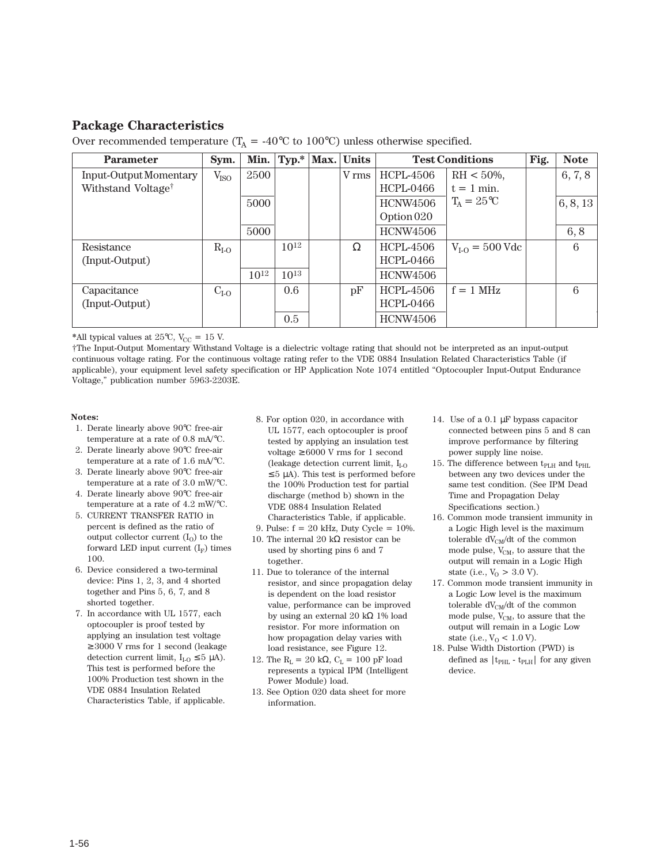#### **Package Characteristics**

| <b>Parameter</b>               | Sym.             | Min. $ $  |           | Typ.*   Max.   Units | <b>Test Conditions</b> |                     | Fig. | <b>Note</b>     |
|--------------------------------|------------------|-----------|-----------|----------------------|------------------------|---------------------|------|-----------------|
| <b>Input-Output Momentary</b>  | V <sub>ISO</sub> | 2500      |           | V rms                | HCPL-4506              | $RH < 50\%,$        |      | 6, 7, 8         |
| Withstand Voltage <sup>†</sup> |                  |           |           |                      | <b>HCPL-0466</b>       | $t = 1$ min.        |      |                 |
|                                |                  | 5000      |           |                      | <b>HCNW4506</b>        | $T_A = 25^{\circ}C$ |      | 6, 8, 13        |
|                                |                  |           |           |                      | Option 020             |                     |      |                 |
|                                |                  | 5000      |           |                      | <b>HCNW4506</b>        |                     |      | 6, 8            |
| Resistance                     | $R_{I-O}$        |           | $10^{12}$ | Ω                    | HCPL-4506              | $V_{I-O} = 500$ Vdc |      | $6\phantom{.}6$ |
| (Input-Output)                 |                  |           |           |                      | <b>HCPL-0466</b>       |                     |      |                 |
|                                |                  | $10^{12}$ | $10^{13}$ |                      | HCNW4506               |                     |      |                 |
| Capacitance                    | $C_{I-O}$        |           | 0.6       | pF                   | HCPL-4506              | $f = 1$ MHz         |      | $6\phantom{.}6$ |
| (Input-Output)                 |                  |           |           |                      | <b>HCPL-0466</b>       |                     |      |                 |
|                                |                  |           | 0.5       |                      | <b>HCNW4506</b>        |                     |      |                 |

\*All typical values at  $25^{\circ}$ C, V<sub>CC</sub> = 15 V.

†The Input-Output Momentary Withstand Voltage is a dielectric voltage rating that should not be interpreted as an input-output continuous voltage rating. For the continuous voltage rating refer to the VDE 0884 Insulation Related Characteristics Table (if applicable), your equipment level safety specification or HP Application Note 1074 entitled "Optocoupler Input-Output Endurance Voltage," publication number 5963-2203E.

**Notes:**

- 1. Derate linearly above 90°C free-air temperature at a rate of 0.8 mA/°C.
- 2. Derate linearly above 90°C free-air temperature at a rate of 1.6 mA/°C.
- 3. Derate linearly above 90°C free-air temperature at a rate of 3.0 mW/°C.
- 4. Derate linearly above 90°C free-air temperature at a rate of 4.2 mW/°C.
- 5. CURRENT TRANSFER RATIO in percent is defined as the ratio of output collector current  $(I_0)$  to the forward LED input current  $(I_F)$  times 100.
- 6. Device considered a two-terminal device: Pins 1, 2, 3, and 4 shorted together and Pins 5, 6, 7, and 8 shorted together.
- 7. In accordance with UL 1577, each optocoupler is proof tested by applying an insulation test voltage ≥ 3000 V rms for 1 second (leakage detection current limit,  $I_{I_O} \leq 5 \mu A$ ). This test is performed before the 100% Production test shown in the VDE 0884 Insulation Related Characteristics Table, if applicable.
- 8. For option 020, in accordance with UL 1577, each optocoupler is proof tested by applying an insulation test voltage  $\geq 6000$  V rms for 1 second (leakage detection current limit,  $I_{I-O}$  $\leq$  5 µA). This test is performed before the 100% Production test for partial discharge (method b) shown in the VDE 0884 Insulation Related Characteristics Table, if applicable.
- 9. Pulse: f = 20 kHz, Duty Cycle = 10%.
- 10. The internal 20 kΩ resistor can be used by shorting pins 6 and 7 together.
- 11. Due to tolerance of the internal resistor, and since propagation delay is dependent on the load resistor value, performance can be improved by using an external 20 kΩ 1% load resistor. For more information on how propagation delay varies with load resistance, see Figure 12.
- 12. The R<sub>L</sub> = 20 kΩ, C<sub>L</sub> = 100 pF load represents a typical IPM (Intelligent Power Module) load.
- 13. See Option 020 data sheet for more information.
- 14. Use of a 0.1 µF bypass capacitor connected between pins 5 and 8 can improve performance by filtering power supply line noise.
- 15. The difference between  $t_{\text{PLH}}$  and  $t_{\text{PHL}}$ between any two devices under the same test condition. (See IPM Dead Time and Propagation Delay Specifications section.)
- 16. Common mode transient immunity in a Logic High level is the maximum tolerable  $dV_{CM}/dt$  of the common mode pulse,  $V_{CM}$ , to assure that the output will remain in a Logic High state (i.e.,  $V_0 > 3.0 V$ ).
- 17. Common mode transient immunity in a Logic Low level is the maximum tolerable  $dV_{CM}/dt$  of the common mode pulse,  $V_{CM}$ , to assure that the output will remain in a Logic Low state (i.e.,  $V_0 < 1.0 V$ ).
- 18. Pulse Width Distortion (PWD) is defined as  $|t_{\rm PHL}$  -  $t_{\rm PLH}|$  for any given device.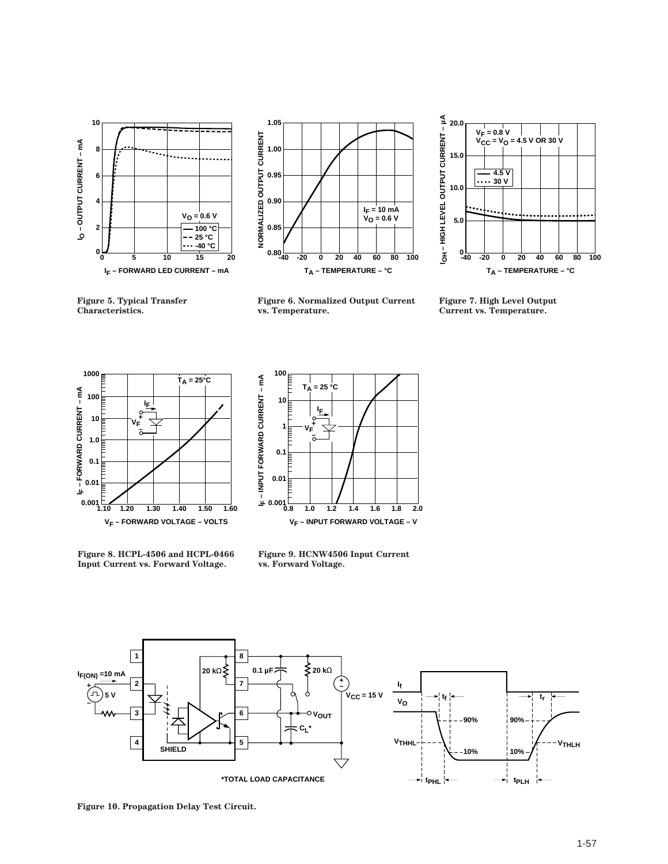



**Figure 6. Normalized Output Current vs. Temperature.**



**Figure 7. High Level Output Current vs. Temperature.**





**1.60 0.001 IF – INPUT FORWARD CURRENT – mA VF – INPUT FORWARD VOLTAGE – V 1 0.1 0.01 1.0 100 1.4 1.8 2.0**  $T_A = 25 °C$ **10 0.8 1.2 1.6 IF VF + –**

**Figure 8. HCPL-4506 and HCPL-0466 Input Current vs. Forward Voltage.**

**Figure 9. HCNW4506 Input Current vs. Forward Voltage.**



**Figure 10. Propagation Delay Test Circuit.**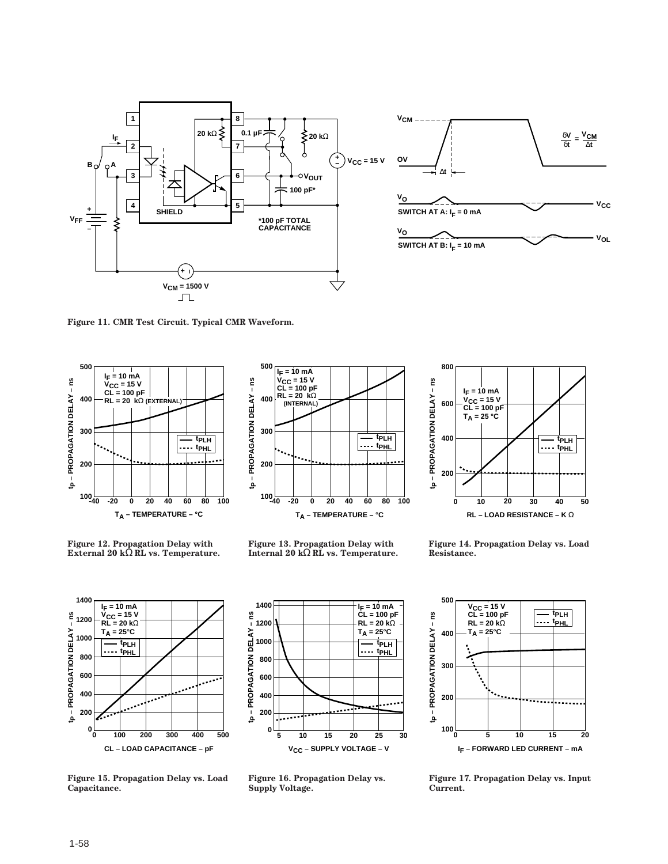



**Figure 11. CMR Test Circuit. Typical CMR Waveform.**





**Figure 12. Propagation Delay with External 20 k**Ω **RL vs. Temperature.**

**Figure 13. Propagation Delay with Internal 20 k**Ω **RL vs. Temperature.**



**Figure 14. Propagation Delay vs. Load Resistance.**



**Figure 15. Propagation Delay vs. Load Capacitance.**



**Figure 16. Propagation Delay vs. Supply Voltage.**



**Figure 17. Propagation Delay vs. Input Current.**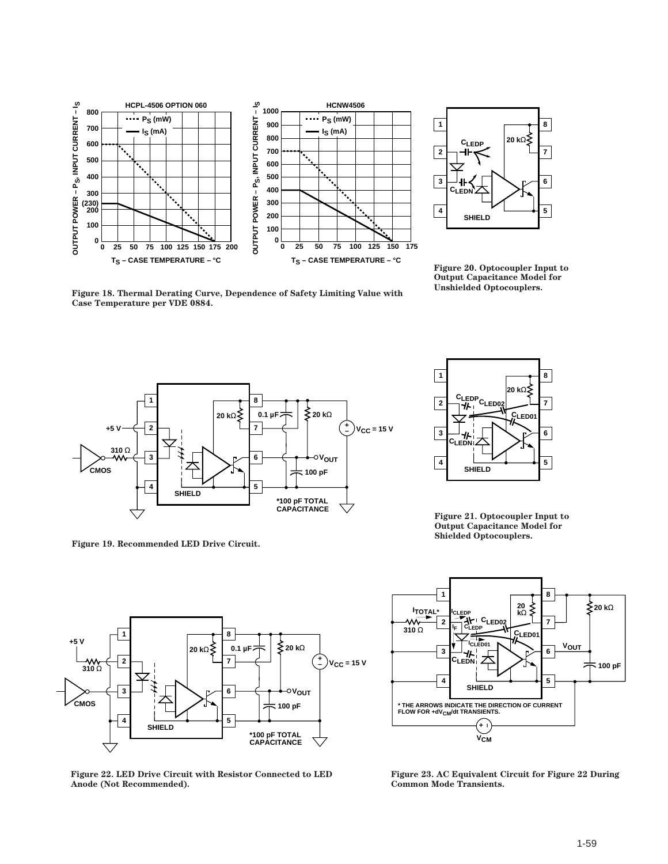



**Figure 20. Optocoupler Input to Output Capacitance Model for Unshielded Optocouplers.**

**Figure 18. Thermal Derating Curve, Dependence of Safety Limiting Value with Case Temperature per VDE 0884.**



**Figure 19. Recommended LED Drive Circuit.**



**Figure 21. Optocoupler Input to Output Capacitance Model for Shielded Optocouplers.**



**Figure 22. LED Drive Circuit with Resistor Connected to LED Anode (Not Recommended).**



**Figure 23. AC Equivalent Circuit for Figure 22 During Common Mode Transients.**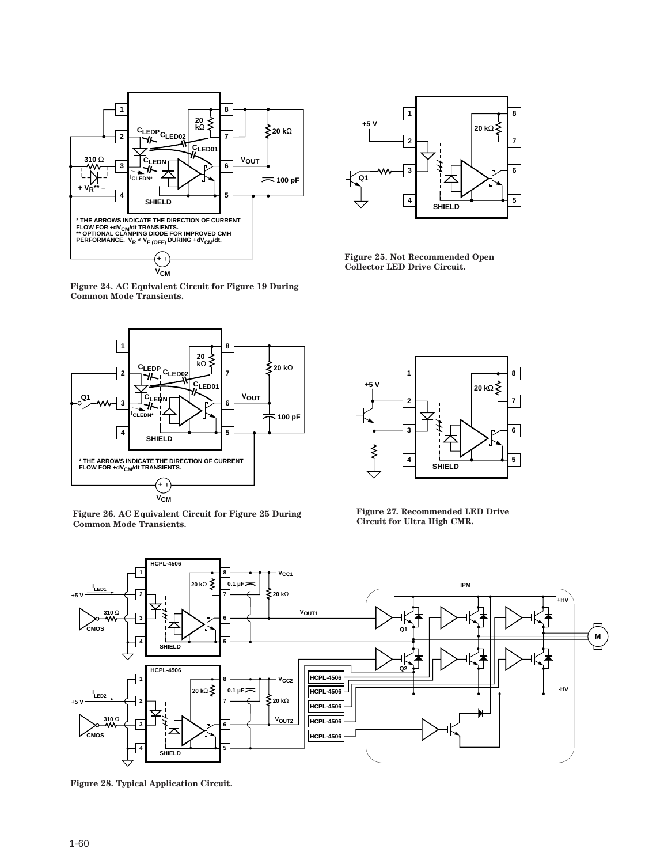

**Figure 24. AC Equivalent Circuit for Figure 19 During Common Mode Transients.**



**Figure 26. AC Equivalent Circuit for Figure 25 During Common Mode Transients.**



**Figure 25. Not Recommended Open Collector LED Drive Circuit.**



**Figure 27. Recommended LED Drive Circuit for Ultra High CMR.**



**Figure 28. Typical Application Circuit.**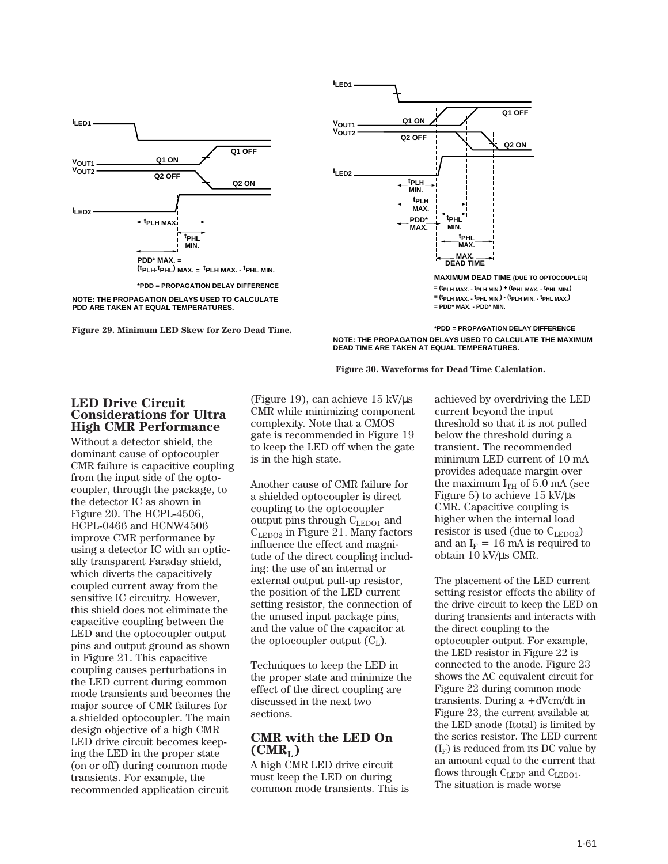







**= (tPLH MAX. - tPLH MIN.) + (tPHL MAX. - tPHL MIN.) = (tPLH MAX. - tPHL MIN.) - (tPLH MIN. - tPHL MAX.) = PDD\* MAX. - PDD\* MIN.**

**\*PDD = PROPAGATION DELAY DIFFERENCE NOTE: THE PROPAGATION DELAYS USED TO CALCULATE THE MAXIMUM DEAD TIME ARE TAKEN AT EQUAL TEMPERATURES.**



#### **LED Drive Circuit Considerations for Ultra High CMR Performance**

Without a detector shield, the dominant cause of optocoupler CMR failure is capacitive coupling from the input side of the optocoupler, through the package, to the detector IC as shown in Figure 20. The HCPL-4506, HCPL-0466 and HCNW4506 improve CMR performance by using a detector IC with an optically transparent Faraday shield, which diverts the capacitively coupled current away from the sensitive IC circuitry. However, this shield does not eliminate the capacitive coupling between the LED and the optocoupler output pins and output ground as shown in Figure 21. This capacitive coupling causes perturbations in the LED current during common mode transients and becomes the major source of CMR failures for a shielded optocoupler. The main design objective of a high CMR LED drive circuit becomes keeping the LED in the proper state (on or off) during common mode transients. For example, the recommended application circuit

(Figure 19), can achieve 15 kV/µs CMR while minimizing component complexity. Note that a CMOS gate is recommended in Figure 19 to keep the LED off when the gate is in the high state.

Another cause of CMR failure for a shielded optocoupler is direct coupling to the optocoupler output pins through  $C_{LEDO1}$  and  $C_{LEDO2}$  in Figure 21. Many factors influence the effect and magnitude of the direct coupling including: the use of an internal or external output pull-up resistor, the position of the LED current setting resistor, the connection of the unused input package pins, and the value of the capacitor at the optocoupler output  $(C_L)$ .

Techniques to keep the LED in the proper state and minimize the effect of the direct coupling are discussed in the next two sections.

#### **CMR with the LED On**  $(CMR<sub>L</sub>)$

A high CMR LED drive circuit must keep the LED on during common mode transients. This is achieved by overdriving the LED current beyond the input threshold so that it is not pulled below the threshold during a transient. The recommended minimum LED current of 10 mA provides adequate margin over the maximum  $I_{TH}$  of 5.0 mA (see Figure 5) to achieve 15 kV/µs CMR. Capacitive coupling is higher when the internal load resistor is used (due to  $C_{\text{LEDO2}}$ ) and an  $I_F = 16$  mA is required to obtain 10 kV/µs CMR.

The placement of the LED current setting resistor effects the ability of the drive circuit to keep the LED on during transients and interacts with the direct coupling to the optocoupler output. For example, the LED resistor in Figure 22 is connected to the anode. Figure 23 shows the AC equivalent circuit for Figure 22 during common mode transients. During a +dVcm/dt in Figure 23, the current available at the LED anode (Itotal) is limited by the series resistor. The LED current  $(I_F)$  is reduced from its DC value by an amount equal to the current that flows through  $C_{LEDP}$  and  $C_{LEDO1}$ . The situation is made worse